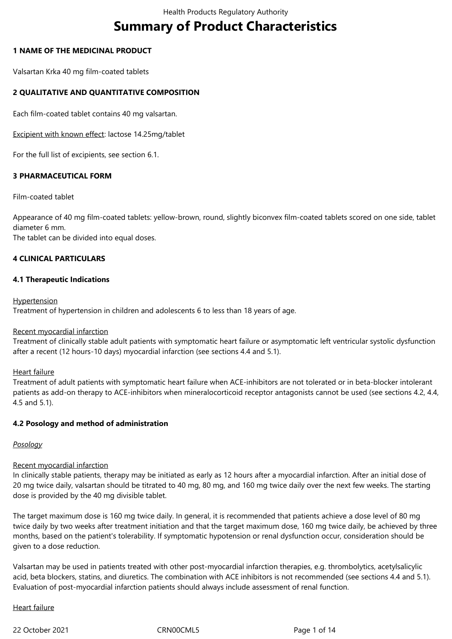# **Summary of Product Characteristics**

# **1 NAME OF THE MEDICINAL PRODUCT**

Valsartan Krka 40 mg film-coated tablets

# **2 QUALITATIVE AND QUANTITATIVE COMPOSITION**

Each film-coated tablet contains 40 mg valsartan.

Excipient with known effect: lactose 14.25mg/tablet

For the full list of excipients, see section 6.1.

#### **3 PHARMACEUTICAL FORM**

#### Film-coated tablet

Appearance of 40 mg film-coated tablets: yellow-brown, round, slightly biconvex film-coated tablets scored on one side, tablet diameter 6 mm.

The tablet can be divided into equal doses.

# **4 CLINICAL PARTICULARS**

#### **4.1 Therapeutic Indications**

#### **Hypertension**

Treatment of hypertension in children and adolescents 6 to less than 18 years of age.

### Recent myocardial infarction

Treatment of clinically stable adult patients with symptomatic heart failure or asymptomatic left ventricular systolic dysfunction after a recent (12 hours-10 days) myocardial infarction (see sections 4.4 and 5.1).

#### Heart failure

Treatment of adult patients with symptomatic heart failure when ACE-inhibitors are not tolerated or in beta-blocker intolerant patients as add-on therapy to ACE-inhibitors when mineralocorticoid receptor antagonists cannot be used (see sections 4.2, 4.4, 4.5 and 5.1).

#### **4.2 Posology and method of administration**

#### *Posology*

#### Recent myocardial infarction

In clinically stable patients, therapy may be initiated as early as 12 hours after a myocardial infarction. After an initial dose of 20 mg twice daily, valsartan should be titrated to 40 mg, 80 mg, and 160 mg twice daily over the next few weeks. The starting dose is provided by the 40 mg divisible tablet.

The target maximum dose is 160 mg twice daily. In general, it is recommended that patients achieve a dose level of 80 mg twice daily by two weeks after treatment initiation and that the target maximum dose, 160 mg twice daily, be achieved by three months, based on the patient's tolerability. If symptomatic hypotension or renal dysfunction occur, consideration should be given to a dose reduction.

Valsartan may be used in patients treated with other post-myocardial infarction therapies, e.g. thrombolytics, acetylsalicylic acid, beta blockers, statins, and diuretics. The combination with ACE inhibitors is not recommended (see sections 4.4 and 5.1). Evaluation of post-myocardial infarction patients should always include assessment of renal function.

#### Heart failure

22 October 2021 CRN00CML5 Page 1 of 14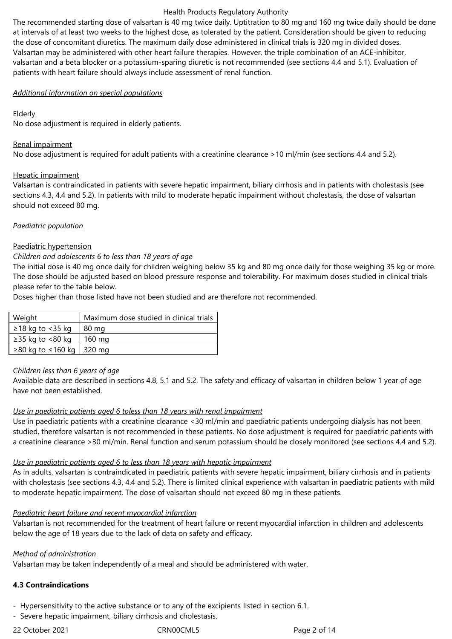The recommended starting dose of valsartan is 40 mg twice daily. Uptitration to 80 mg and 160 mg twice daily should be done at intervals of at least two weeks to the highest dose, as tolerated by the patient. Consideration should be given to reducing the dose of concomitant diuretics. The maximum daily dose administered in clinical trials is 320 mg in divided doses. Valsartan may be administered with other heart failure therapies. However, the triple combination of an ACE-inhibitor, valsartan and a beta blocker or a potassium-sparing diuretic is not recommended (see sections 4.4 and 5.1). Evaluation of patients with heart failure should always include assessment of renal function.

#### *Additional information on special populations*

### Elderly

No dose adjustment is required in elderly patients.

# Renal impairment

No dose adjustment is required for adult patients with a creatinine clearance >10 ml/min (see sections 4.4 and 5.2).

# Hepatic impairment

Valsartan is contraindicated in patients with severe hepatic impairment, biliary cirrhosis and in patients with cholestasis (see sections 4.3, 4.4 and 5.2). In patients with mild to moderate hepatic impairment without cholestasis, the dose of valsartan should not exceed 80 mg.

# *Paediatric population*

# Paediatric hypertension

# *Children and adolescents 6 to less than 18 years of age*

The initial dose is 40 mg once daily for children weighing below 35 kg and 80 mg once daily for those weighing 35 kg or more. The dose should be adjusted based on blood pressure response and tolerability. For maximum doses studied in clinical trials please refer to the table below.

Doses higher than those listed have not been studied and are therefore not recommended.

| Weight                     | Maximum dose studied in clinical trials |
|----------------------------|-----------------------------------------|
| $\geq$ 18 kg to <35 kg     | 80 mg                                   |
| $\geq$ 35 kg to <80 kg     | 160 mg                                  |
| ≥80 kg to ≤160 kg   320 mg |                                         |

#### *Children less than 6 years of age*

Available data are described in sections 4.8, 5.1 and 5.2. The safety and efficacy of valsartan in children below 1 year of age have not been established.

#### *Use in paediatric patients aged 6 toless than 18 years with renal impairment*

Use in paediatric patients with a creatinine clearance <30 ml/min and paediatric patients undergoing dialysis has not been studied, therefore valsartan is not recommended in these patients. No dose adjustment is required for paediatric patients with a creatinine clearance >30 ml/min. Renal function and serum potassium should be closely monitored (see sections 4.4 and 5.2).

# *Use in paediatric patients aged 6 to less than 18 years with hepatic impairment*

As in adults, valsartan is contraindicated in paediatric patients with severe hepatic impairment, biliary cirrhosis and in patients with cholestasis (see sections 4.3, 4.4 and 5.2). There is limited clinical experience with valsartan in paediatric patients with mild to moderate hepatic impairment. The dose of valsartan should not exceed 80 mg in these patients.

#### *Paediatric heart failure and recent myocardial infarction*

Valsartan is not recommended for the treatment of heart failure or recent myocardial infarction in children and adolescents below the age of 18 years due to the lack of data on safety and efficacy.

# *Method of administration*

Valsartan may be taken independently of a meal and should be administered with water.

# **4.3 Contraindications**

- Hypersensitivity to the active substance or to any of the excipients listed in section 6.1.

- Severe hepatic impairment, biliary cirrhosis and cholestasis.

22 October 2021 CRN00CML5 Page 2 of 14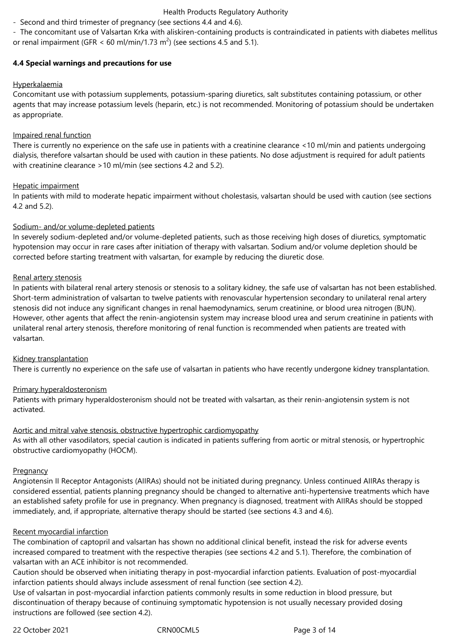- Second and third trimester of pregnancy (see sections 4.4 and 4.6).

- The concomitant use of Valsartan Krka with aliskiren-containing products is contraindicated in patients with diabetes mellitus or renal impairment (GFR  $<$  60 ml/min/1.73 m<sup>2</sup>) (see sections 4.5 and 5.1).

# **4.4 Special warnings and precautions for use**

# Hyperkalaemia

Concomitant use with potassium supplements, potassium-sparing diuretics, salt substitutes containing potassium, or other agents that may increase potassium levels (heparin, etc.) is not recommended. Monitoring of potassium should be undertaken as appropriate.

# Impaired renal function

There is currently no experience on the safe use in patients with a creatinine clearance <10 ml/min and patients undergoing dialysis, therefore valsartan should be used with caution in these patients. No dose adjustment is required for adult patients with creatinine clearance >10 ml/min (see sections 4.2 and 5.2).

# Hepatic impairment

In patients with mild to moderate hepatic impairment without cholestasis, valsartan should be used with caution (see sections 4.2 and 5.2).

# Sodium- and/or volume-depleted patients

In severely sodium-depleted and/or volume-depleted patients, such as those receiving high doses of diuretics, symptomatic hypotension may occur in rare cases after initiation of therapy with valsartan. Sodium and/or volume depletion should be corrected before starting treatment with valsartan, for example by reducing the diuretic dose.

# Renal artery stenosis

In patients with bilateral renal artery stenosis or stenosis to a solitary kidney, the safe use of valsartan has not been established. Short-term administration of valsartan to twelve patients with renovascular hypertension secondary to unilateral renal artery stenosis did not induce any significant changes in renal haemodynamics, serum creatinine, or blood urea nitrogen (BUN). However, other agents that affect the renin-angiotensin system may increase blood urea and serum creatinine in patients with unilateral renal artery stenosis, therefore monitoring of renal function is recommended when patients are treated with valsartan.

# Kidney transplantation

There is currently no experience on the safe use of valsartan in patients who have recently undergone kidney transplantation.

# Primary hyperaldosteronism

Patients with primary hyperaldosteronism should not be treated with valsartan, as their renin-angiotensin system is not activated.

# Aortic and mitral valve stenosis, obstructive hypertrophic cardiomyopathy

As with all other vasodilators, special caution is indicated in patients suffering from aortic or mitral stenosis, or hypertrophic obstructive cardiomyopathy (HOCM).

#### **Pregnancy**

Angiotensin II Receptor Antagonists (AIIRAs) should not be initiated during pregnancy. Unless continued AIIRAs therapy is considered essential, patients planning pregnancy should be changed to alternative anti-hypertensive treatments which have an established safety profile for use in pregnancy. When pregnancy is diagnosed, treatment with AIIRAs should be stopped immediately, and, if appropriate, alternative therapy should be started (see sections 4.3 and 4.6).

# Recent myocardial infarction

The combination of captopril and valsartan has shown no additional clinical benefit, instead the risk for adverse events increased compared to treatment with the respective therapies (see sections 4.2 and 5.1). Therefore, the combination of valsartan with an ACE inhibitor is not recommended.

Caution should be observed when initiating therapy in post-myocardial infarction patients. Evaluation of post-myocardial infarction patients should always include assessment of renal function (see section 4.2).

Use of valsartan in post-myocardial infarction patients commonly results in some reduction in blood pressure, but discontinuation of therapy because of continuing symptomatic hypotension is not usually necessary provided dosing instructions are followed (see section 4.2).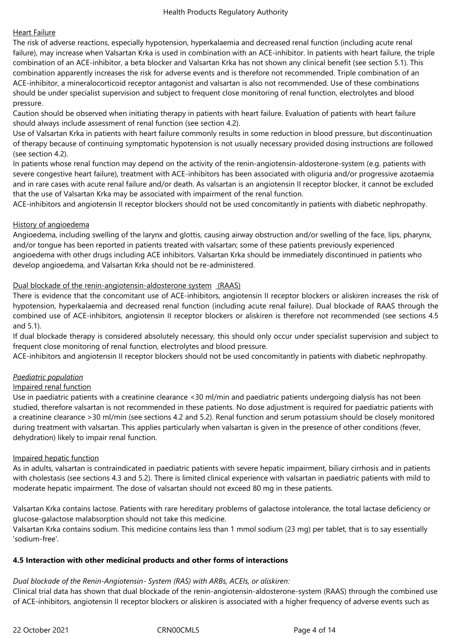# Heart Failure

The risk of adverse reactions, especially hypotension, hyperkalaemia and decreased renal function (including acute renal failure), may increase when Valsartan Krka is used in combination with an ACE-inhibitor. In patients with heart failure, the triple combination of an ACE-inhibitor, a beta blocker and Valsartan Krka has not shown any clinical benefit (see section 5.1). This combination apparently increases the risk for adverse events and is therefore not recommended. Triple combination of an ACE-inhibitor, a mineralocorticoid receptor antagonist and valsartan is also not recommended. Use of these combinations should be under specialist supervision and subject to frequent close monitoring of renal function, electrolytes and blood pressure.

Caution should be observed when initiating therapy in patients with heart failure. Evaluation of patients with heart failure should always include assessment of renal function (see section 4.2).

Use of Valsartan Krka in patients with heart failure commonly results in some reduction in blood pressure, but discontinuation of therapy because of continuing symptomatic hypotension is not usually necessary provided dosing instructions are followed (see section 4.2).

In patients whose renal function may depend on the activity of the renin-angiotensin-aldosterone-system (e.g. patients with severe congestive heart failure), treatment with ACE-inhibitors has been associated with oliguria and/or progressive azotaemia and in rare cases with acute renal failure and/or death. As valsartan is an angiotensin II receptor blocker, it cannot be excluded that the use of Valsartan Krka may be associated with impairment of the renal function.

ACE-inhibitors and angiotensin II receptor blockers should not be used concomitantly in patients with diabetic nephropathy.

# History of angioedema

Angioedema, including swelling of the larynx and glottis, causing airway obstruction and/or swelling of the face, lips, pharynx, and/or tongue has been reported in patients treated with valsartan; some of these patients previously experienced angioedema with other drugs including ACE inhibitors. Valsartan Krka should be immediately discontinued in patients who develop angioedema, and Valsartan Krka should not be re-administered.

# Dual blockade of the renin-angiotensin-aldosterone system (RAAS)

There is evidence that the concomitant use of ACE-inhibitors, angiotensin II receptor blockers or aliskiren increases the risk of hypotension, hyperkalaemia and decreased renal function (including acute renal failure). Dual blockade of RAAS through the combined use of ACE-inhibitors, angiotensin II receptor blockers or aliskiren is therefore not recommended (see sections 4.5 and 5.1).

If dual blockade therapy is considered absolutely necessary, this should only occur under specialist supervision and subject to frequent close monitoring of renal function, electrolytes and blood pressure.

ACE-inhibitors and angiotensin II receptor blockers should not be used concomitantly in patients with diabetic nephropathy.

#### *Paediatric population*

#### Impaired renal function

Use in paediatric patients with a creatinine clearance <30 ml/min and paediatric patients undergoing dialysis has not been studied, therefore valsartan is not recommended in these patients. No dose adjustment is required for paediatric patients with a creatinine clearance >30 ml/min (see sections 4.2 and 5.2). Renal function and serum potassium should be closely monitored during treatment with valsartan. This applies particularly when valsartan is given in the presence of other conditions (fever, dehydration) likely to impair renal function.

#### Impaired hepatic function

As in adults, valsartan is contraindicated in paediatric patients with severe hepatic impairment, biliary cirrhosis and in patients with cholestasis (see sections 4.3 and 5.2). There is limited clinical experience with valsartan in paediatric patients with mild to moderate hepatic impairment. The dose of valsartan should not exceed 80 mg in these patients.

Valsartan Krka contains lactose. Patients with rare hereditary problems of galactose intolerance, the total lactase deficiency or glucose-galactose malabsorption should not take this medicine.

Valsartan Krka contains sodium. This medicine contains less than 1 mmol sodium (23 mg) per tablet, that is to say essentially 'sodium-free'.

#### **4.5 Interaction with other medicinal products and other forms of interactions**

#### *Dual blockade of the Renin-Angiotensin- System (RAS) with ARBs, ACEIs, or aliskiren:*

Clinical trial data has shown that dual blockade of the renin-angiotensin-aldosterone-system (RAAS) through the combined use of ACE-inhibitors, angiotensin II receptor blockers or aliskiren is associated with a higher frequency of adverse events such as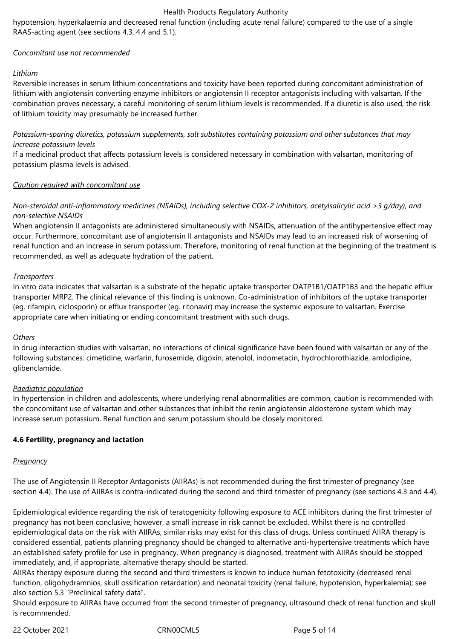hypotension, hyperkalaemia and decreased renal function (including acute renal failure) compared to the use of a single RAAS-acting agent (see sections 4.3, 4.4 and 5.1).

# *Concomitant use not recommended*

### *Lithium*

Reversible increases in serum lithium concentrations and toxicity have been reported during concomitant administration of lithium with angiotensin converting enzyme inhibitors or angiotensin II receptor antagonists including with valsartan. If the combination proves necessary, a careful monitoring of serum lithium levels is recommended. If a diuretic is also used, the risk of lithium toxicity may presumably be increased further.

*Potassium-sparing diuretics, potassium supplements, salt substitutes containing potassium and other substances that may increase potassium levels*

If a medicinal product that affects potassium levels is considered necessary in combination with valsartan, monitoring of potassium plasma levels is advised.

# *Caution required with concomitant use*

# *Non-steroidal anti-inflammatory medicines (NSAIDs), including selective COX-2 inhibitors, acetylsalicylic acid >3 g/day), and non-selective NSAIDs*

When angiotensin II antagonists are administered simultaneously with NSAIDs, attenuation of the antihypertensive effect may occur. Furthermore, concomitant use of angiotensin II antagonists and NSAIDs may lead to an increased risk of worsening of renal function and an increase in serum potassium. Therefore, monitoring of renal function at the beginning of the treatment is recommended, as well as adequate hydration of the patient.

# *Transporters*

In vitro data indicates that valsartan is a substrate of the hepatic uptake transporter OATP1B1/OATP1B3 and the hepatic efflux transporter MRP2. The clinical relevance of this finding is unknown. Co-administration of inhibitors of the uptake transporter (eg. rifampin, ciclosporin) or efflux transporter (eg. ritonavir) may increase the systemic exposure to valsartan. Exercise appropriate care when initiating or ending concomitant treatment with such drugs.

#### *Others*

In drug interaction studies with valsartan, no interactions of clinical significance have been found with valsartan or any of the following substances: cimetidine, warfarin, furosemide, digoxin, atenolol, indometacin, hydrochlorothiazide, amlodipine, glibenclamide.

# *Paediatric population*

In hypertension in children and adolescents, where underlying renal abnormalities are common, caution is recommended with the concomitant use of valsartan and other substances that inhibit the renin angiotensin aldosterone system which may increase serum potassium. Renal function and serum potassium should be closely monitored.

# **4.6 Fertility, pregnancy and lactation**

#### *Pregnancy*

The use of Angiotensin II Receptor Antagonists (AIIRAs) is not recommended during the first trimester of pregnancy (see section 4.4). The use of AIIRAs is contra-indicated during the second and third trimester of pregnancy (see sections 4.3 and 4.4).

Epidemiological evidence regarding the risk of teratogenicity following exposure to ACE inhibitors during the first trimester of pregnancy has not been conclusive; however, a small increase in risk cannot be excluded. Whilst there is no controlled epidemiological data on the risk with AIIRAs, similar risks may exist for this class of drugs. Unless continued AIIRA therapy is considered essential, patients planning pregnancy should be changed to alternative anti-hypertensive treatments which have an established safety profile for use in pregnancy. When pregnancy is diagnosed, treatment with AIIRAs should be stopped immediately, and, if appropriate, alternative therapy should be started.

AIIRAs therapy exposure during the second and third trimesters is known to induce human fetotoxicity (decreased renal function, oligohydramnios, skull ossification retardation) and neonatal toxicity (renal failure, hypotension, hyperkalemia); see also section 5.3 "Preclinical safety data".

Should exposure to AIIRAs have occurred from the second trimester of pregnancy, ultrasound check of renal function and skull is recommended.

22 October 2021 CRN00CML5 Page 5 of 14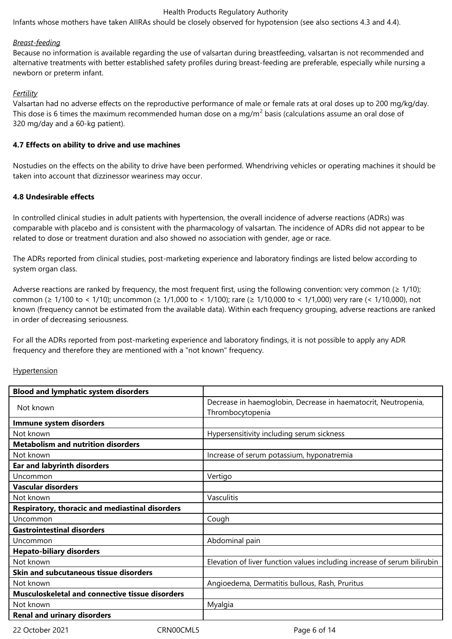Infants whose mothers have taken AIIRAs should be closely observed for hypotension (see also sections 4.3 and 4.4).

#### *Breast-feeding*

Because no information is available regarding the use of valsartan during breastfeeding, valsartan is not recommended and alternative treatments with better established safety profiles during breast-feeding are preferable, especially while nursing a newborn or preterm infant.

### *Fertility*

Valsartan had no adverse effects on the reproductive performance of male or female rats at oral doses up to 200 mg/kg/day. This dose is 6 times the maximum recommended human dose on a mg/m<sup>2</sup> basis (calculations assume an oral dose of 320 mg/day and a 60-kg patient).

### **4.7 Effects on ability to drive and use machines**

Nostudies on the effects on the ability to drive have been performed. Whendriving vehicles or operating machines it should be taken into account that dizzinessor weariness may occur.

# **4.8 Undesirable effects**

In controlled clinical studies in adult patients with hypertension, the overall incidence of adverse reactions (ADRs) was comparable with placebo and is consistent with the pharmacology of valsartan. The incidence of ADRs did not appear to be related to dose or treatment duration and also showed no association with gender, age or race.

The ADRs reported from clinical studies, post-marketing experience and laboratory findings are listed below according to system organ class.

Adverse reactions are ranked by frequency, the most frequent first, using the following convention: very common ( $\geq 1/10$ ); common (≥ 1/100 to < 1/10); uncommon (≥ 1/1,000 to < 1/100); rare (≥ 1/10,000 to < 1/1,000) very rare (< 1/10,000), not known (frequency cannot be estimated from the available data). Within each frequency grouping, adverse reactions are ranked in order of decreasing seriousness.

For all the ADRs reported from post-marketing experience and laboratory findings, it is not possible to apply any ADR frequency and therefore they are mentioned with a "not known" frequency.

#### Hypertension

| Decrease in haemoglobin, Decrease in haematocrit, Neutropenia,<br>Thrombocytopenia |
|------------------------------------------------------------------------------------|
|                                                                                    |
| Hypersensitivity including serum sickness                                          |
|                                                                                    |
| Increase of serum potassium, hyponatremia                                          |
|                                                                                    |
| Vertigo                                                                            |
|                                                                                    |
| Vasculitis                                                                         |
|                                                                                    |
| Cough                                                                              |
|                                                                                    |
| Abdominal pain                                                                     |
|                                                                                    |
| Elevation of liver function values including increase of serum bilirubin           |
|                                                                                    |
| Angioedema, Dermatitis bullous, Rash, Pruritus                                     |
|                                                                                    |
| Myalgia                                                                            |
|                                                                                    |
|                                                                                    |

22 October 2021 CRN00CML5 Page 6 of 14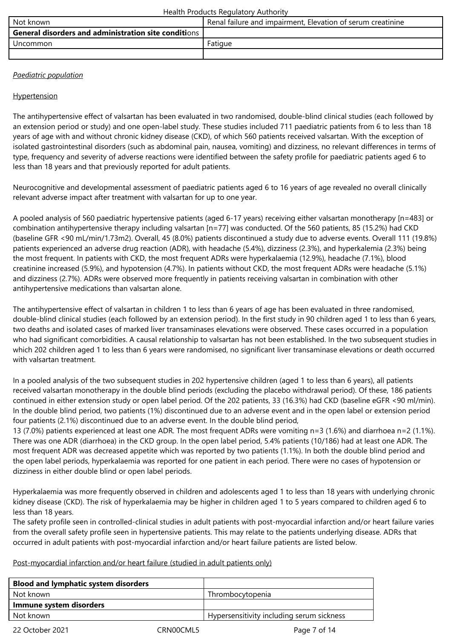| Not known                                                   | Renal failure and impairment, Elevation of serum creatinine |
|-------------------------------------------------------------|-------------------------------------------------------------|
| <b>General disorders and administration site conditions</b> |                                                             |
| <b>Uncommon</b>                                             | Fatique                                                     |
|                                                             |                                                             |

# *Paediatric population*

# **Hypertension**

The antihypertensive effect of valsartan has been evaluated in two randomised, double-blind clinical studies (each followed by an extension period or study) and one open-label study. These studies included 711 paediatric patients from 6 to less than 18 years of age with and without chronic kidney disease (CKD), of which 560 patients received valsartan. With the exception of isolated gastrointestinal disorders (such as abdominal pain, nausea, vomiting) and dizziness, no relevant differences in terms of type, frequency and severity of adverse reactions were identified between the safety profile for paediatric patients aged 6 to less than 18 years and that previously reported for adult patients.

Neurocognitive and developmental assessment of paediatric patients aged 6 to 16 years of age revealed no overall clinically relevant adverse impact after treatment with valsartan for up to one year.

A pooled analysis of 560 paediatric hypertensive patients (aged 6-17 years) receiving either valsartan monotherapy [n=483] or combination antihypertensive therapy including valsartan [n=77] was conducted. Of the 560 patients, 85 (15.2%) had CKD (baseline GFR <90 mL/min/1.73m2). Overall, 45 (8.0%) patients discontinued a study due to adverse events. Overall 111 (19.8%) patients experienced an adverse drug reaction (ADR), with headache (5.4%), dizziness (2.3%), and hyperkalemia (2.3%) being the most frequent. In patients with CKD, the most frequent ADRs were hyperkalaemia (12.9%), headache (7.1%), blood creatinine increased (5.9%), and hypotension (4.7%). In patients without CKD, the most frequent ADRs were headache (5.1%) and dizziness (2.7%). ADRs were observed more frequently in patients receiving valsartan in combination with other antihypertensive medications than valsartan alone.

The antihypertensive effect of valsartan in children 1 to less than 6 years of age has been evaluated in three randomised, double-blind clinical studies (each followed by an extension period). In the first study in 90 children aged 1 to less than 6 years, two deaths and isolated cases of marked liver transaminases elevations were observed. These cases occurred in a population who had significant comorbidities. A causal relationship to valsartan has not been established. In the two subsequent studies in which 202 children aged 1 to less than 6 years were randomised, no significant liver transaminase elevations or death occurred with valsartan treatment.

In a pooled analysis of the two subsequent studies in 202 hypertensive children (aged 1 to less than 6 years), all patients received valsartan monotherapy in the double blind periods (excluding the placebo withdrawal period). Of these, 186 patients continued in either extension study or open label period. Of the 202 patients, 33 (16.3%) had CKD (baseline eGFR <90 ml/min). In the double blind period, two patients (1%) discontinued due to an adverse event and in the open label or extension period four patients (2.1%) discontinued due to an adverse event. In the double blind period,

13 (7.0%) patients experienced at least one ADR. The most frequent ADRs were vomiting n=3 (1.6%) and diarrhoea n=2 (1.1%). There was one ADR (diarrhoea) in the CKD group. In the open label period, 5.4% patients (10/186) had at least one ADR. The most frequent ADR was decreased appetite which was reported by two patients (1.1%). In both the double blind period and the open label periods, hyperkalaemia was reported for one patient in each period. There were no cases of hypotension or dizziness in either double blind or open label periods.

Hyperkalaemia was more frequently observed in children and adolescents aged 1 to less than 18 years with underlying chronic kidney disease (CKD). The risk of hyperkalaemia may be higher in children aged 1 to 5 years compared to children aged 6 to less than 18 years.

The safety profile seen in controlled-clinical studies in adult patients with post-myocardial infarction and/or heart failure varies from the overall safety profile seen in hypertensive patients. This may relate to the patients underlying disease. ADRs that occurred in adult patients with post-myocardial infarction and/or heart failure patients are listed below.

Post-myocardial infarction and/or heart failure (studied in adult patients only)

| <b>Blood and lymphatic system disorders</b> |                                           |
|---------------------------------------------|-------------------------------------------|
| Not known                                   | Thrombocytopenia                          |
| Immune system disorders                     |                                           |
| Not known                                   | Hypersensitivity including serum sickness |
|                                             |                                           |

22 October 2021 CRN00CML5 Page 7 of 14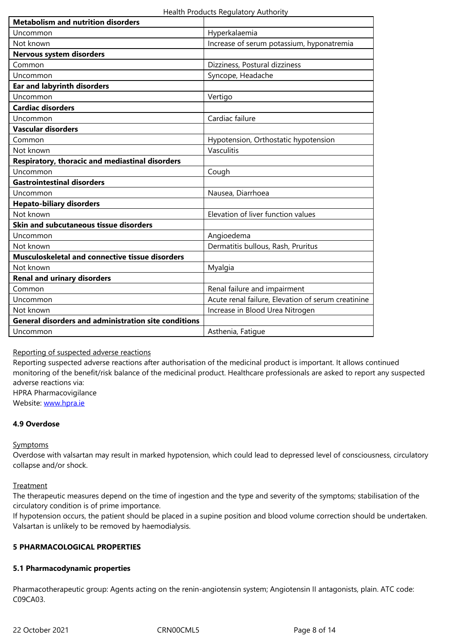| Not known                                                   | Increase of serum potassium, hyponatremia          |
|-------------------------------------------------------------|----------------------------------------------------|
| <b>Nervous system disorders</b>                             |                                                    |
| Common                                                      | Dizziness, Postural dizziness                      |
| Uncommon                                                    | Syncope, Headache                                  |
| <b>Ear and labyrinth disorders</b>                          |                                                    |
| Uncommon                                                    | Vertigo                                            |
| <b>Cardiac disorders</b>                                    |                                                    |
| Uncommon                                                    | Cardiac failure                                    |
| <b>Vascular disorders</b>                                   |                                                    |
| Common                                                      | Hypotension, Orthostatic hypotension               |
| Not known                                                   | Vasculitis                                         |
| Respiratory, thoracic and mediastinal disorders             |                                                    |
| Uncommon                                                    | Cough                                              |
| <b>Gastrointestinal disorders</b>                           |                                                    |
| Uncommon                                                    | Nausea, Diarrhoea                                  |
| <b>Hepato-biliary disorders</b>                             |                                                    |
| Not known                                                   | Elevation of liver function values                 |
| Skin and subcutaneous tissue disorders                      |                                                    |
| Uncommon                                                    | Angioedema                                         |
| Not known                                                   | Dermatitis bullous, Rash, Pruritus                 |
| <b>Musculoskeletal and connective tissue disorders</b>      |                                                    |
| Not known                                                   | Myalgia                                            |
| <b>Renal and urinary disorders</b>                          |                                                    |
| Common                                                      | Renal failure and impairment                       |
| Uncommon                                                    | Acute renal failure, Elevation of serum creatinine |
| Not known                                                   | Increase in Blood Urea Nitrogen                    |
| <b>General disorders and administration site conditions</b> |                                                    |
| Uncommon                                                    | Asthenia, Fatigue                                  |

# Reporting of suspected adverse reactions

Reporting suspected adverse reactions after authorisation of the medicinal product is important. It allows continued monitoring of the benefit/risk balance of the medicinal product. Healthcare professionals are asked to report any suspected adverse reactions via:

HPRA Pharmacovigilance Website: www.hpra.ie

# **4.9 Overdose**

# **Sympto[ms](http://www.hpra.ie/)**

Overdose with valsartan may result in marked hypotension, which could lead to depressed level of consciousness, circulatory collapse and/or shock.

# **Treatment**

The therapeutic measures depend on the time of ingestion and the type and severity of the symptoms; stabilisation of the circulatory condition is of prime importance.

If hypotension occurs, the patient should be placed in a supine position and blood volume correction should be undertaken. Valsartan is unlikely to be removed by haemodialysis.

# **5 PHARMACOLOGICAL PROPERTIES**

# **5.1 Pharmacodynamic properties**

Pharmacotherapeutic group: Agents acting on the renin-angiotensin system; Angiotensin II antagonists, plain. ATC code: C09CA03.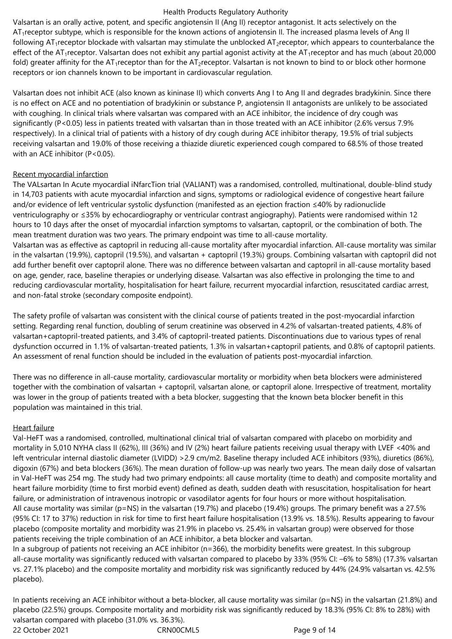Valsartan is an orally active, potent, and specific angiotensin II (Ang II) receptor antagonist. It acts selectively on the AT1receptor subtype, which is responsible for the known actions of angiotensin II. The increased plasma levels of Ang II following  $AT_1$ receptor blockade with valsartan may stimulate the unblocked  $AT_2$ receptor, which appears to counterbalance the effect of the AT<sub>1</sub>receptor. Valsartan does not exhibit any partial agonist activity at the AT<sub>1</sub>receptor and has much (about 20,000 fold) greater affinity for the AT<sub>1</sub>receptor than for the AT<sub>2</sub>receptor. Valsartan is not known to bind to or block other hormone receptors or ion channels known to be important in cardiovascular regulation.

Valsartan does not inhibit ACE (also known as kininase II) which converts Ang I to Ang II and degrades bradykinin. Since there is no effect on ACE and no potentiation of bradykinin or substance P, angiotensin II antagonists are unlikely to be associated with coughing. In clinical trials where valsartan was compared with an ACE inhibitor, the incidence of dry cough was significantly (P<0.05) less in patients treated with valsartan than in those treated with an ACE inhibitor (2.6% versus 7.9% respectively). In a clinical trial of patients with a history of dry cough during ACE inhibitor therapy, 19.5% of trial subjects receiving valsartan and 19.0% of those receiving a thiazide diuretic experienced cough compared to 68.5% of those treated with an ACE inhibitor (P<0.05).

# Recent myocardial infarction

The VALsartan In Acute myocardial iNfarcTion trial (VALIANT) was a randomised, controlled, multinational, double-blind study in 14,703 patients with acute myocardial infarction and signs, symptoms or radiological evidence of congestive heart failure and/or evidence of left ventricular systolic dysfunction (manifested as an ejection fraction ≤40% by radionuclide ventriculography or ≤35% by echocardiography or ventricular contrast angiography). Patients were randomised within 12 hours to 10 days after the onset of myocardial infarction symptoms to valsartan, captopril, or the combination of both. The mean treatment duration was two years. The primary endpoint was time to all-cause mortality.

Valsartan was as effective as captopril in reducing all-cause mortality after myocardial infarction. All-cause mortality was similar in the valsartan (19.9%), captopril (19.5%), and valsartan + captopril (19.3%) groups. Combining valsartan with captopril did not add further benefit over captopril alone. There was no difference between valsartan and captopril in all-cause mortality based on age, gender, race, baseline therapies or underlying disease. Valsartan was also effective in prolonging the time to and reducing cardiovascular mortality, hospitalisation for heart failure, recurrent myocardial infarction, resuscitated cardiac arrest, and non-fatal stroke (secondary composite endpoint).

The safety profile of valsartan was consistent with the clinical course of patients treated in the post-myocardial infarction setting. Regarding renal function, doubling of serum creatinine was observed in 4.2% of valsartan-treated patients, 4.8% of valsartan+captopril-treated patients, and 3.4% of captopril-treated patients. Discontinuations due to various types of renal dysfunction occurred in 1.1% of valsartan-treated patients, 1.3% in valsartan+captopril patients, and 0.8% of captopril patients. An assessment of renal function should be included in the evaluation of patients post-myocardial infarction.

There was no difference in all-cause mortality, cardiovascular mortality or morbidity when beta blockers were administered together with the combination of valsartan + captopril, valsartan alone, or captopril alone. Irrespective of treatment, mortality was lower in the group of patients treated with a beta blocker, suggesting that the known beta blocker benefit in this population was maintained in this trial.

# Heart failure

Val-HeFT was a randomised, controlled, multinational clinical trial of valsartan compared with placebo on morbidity and mortality in 5,010 NYHA class II (62%), III (36%) and IV (2%) heart failure patients receiving usual therapy with LVEF <40% and left ventricular internal diastolic diameter (LVIDD) >2.9 cm/m2. Baseline therapy included ACE inhibitors (93%), diuretics (86%), digoxin (67%) and beta blockers (36%). The mean duration of follow-up was nearly two years. The mean daily dose of valsartan in Val-HeFT was 254 mg. The study had two primary endpoints: all cause mortality (time to death) and composite mortality and heart failure morbidity (time to first morbid event) defined as death, sudden death with resuscitation, hospitalisation for heart failure, or administration of intravenous inotropic or vasodilator agents for four hours or more without hospitalisation. All cause mortality was similar ( $p=NS$ ) in the valsartan (19.7%) and placebo (19.4%) groups. The primary benefit was a 27.5% (95% CI: 17 to 37%) reduction in risk for time to first heart failure hospitalisation (13.9% vs. 18.5%). Results appearing to favour placebo (composite mortality and morbidity was 21.9% in placebo vs. 25.4% in valsartan group) were observed for those patients receiving the triple combination of an ACE inhibitor, a beta blocker and valsartan.

In a subgroup of patients not receiving an ACE inhibitor (n=366), the morbidity benefits were greatest. In this subgroup all-cause mortality was significantly reduced with valsartan compared to placebo by 33% (95% CI: –6% to 58%) (17.3% valsartan vs. 27.1% placebo) and the composite mortality and morbidity risk was significantly reduced by 44% (24.9% valsartan vs. 42.5% placebo).

22 October 2021 CRN00CML5 Page 9 of 14 In patients receiving an ACE inhibitor without a beta-blocker, all cause mortality was similar (p=NS) in the valsartan (21.8%) and placebo (22.5%) groups. Composite mortality and morbidity risk was significantly reduced by 18.3% (95% CI: 8% to 28%) with valsartan compared with placebo (31.0% vs. 36.3%).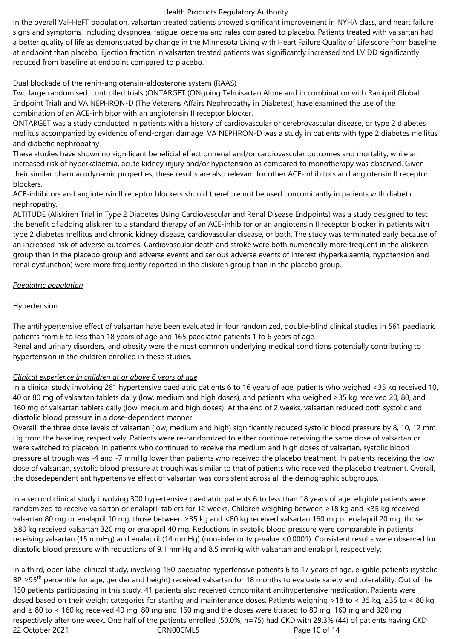In the overall Val-HeFT population, valsartan treated patients showed significant improvement in NYHA class, and heart failure signs and symptoms, including dyspnoea, fatigue, oedema and rales compared to placebo. Patients treated with valsartan had a better quality of life as demonstrated by change in the Minnesota Living with Heart Failure Quality of Life score from baseline at endpoint than placebo. Ejection fraction in valsartan treated patients was significantly increased and LVIDD significantly reduced from baseline at endpoint compared to placebo.

# Dual blockade of the renin‑angiotensin‑aldosterone system (RAAS)

Two large randomised, controlled trials (ONTARGET (ONgoing Telmisartan Alone and in combination with Ramipril Global Endpoint Trial) and VA NEPHRON-D (The Veterans Affairs Nephropathy in Diabetes)) have examined the use of the combination of an ACE-inhibitor with an angiotensin II receptor blocker.

ONTARGET was a study conducted in patients with a history of cardiovascular or cerebrovascular disease, or type 2 diabetes mellitus accompanied by evidence of end-organ damage. VA NEPHRON-D was a study in patients with type 2 diabetes mellitus and diabetic nephropathy.

These studies have shown no significant beneficial effect on renal and/or cardiovascular outcomes and mortality, while an increased risk of hyperkalaemia, acute kidney injury and/or hypotension as compared to monotherapy was observed. Given their similar pharmacodynamic properties, these results are also relevant for other ACE-inhibitors and angiotensin II receptor blockers.

ACE-inhibitors and angiotensin II receptor blockers should therefore not be used concomitantly in patients with diabetic nephropathy.

ALTITUDE (Aliskiren Trial in Type 2 Diabetes Using Cardiovascular and Renal Disease Endpoints) was a study designed to test the benefit of adding aliskiren to a standard therapy of an ACE-inhibitor or an angiotensin II receptor blocker in patients with type 2 diabetes mellitus and chronic kidney disease, cardiovascular disease, or both. The study was terminated early because of an increased risk of adverse outcomes. Cardiovascular death and stroke were both numerically more frequent in the aliskiren group than in the placebo group and adverse events and serious adverse events of interest (hyperkalaemia, hypotension and renal dysfunction) were more frequently reported in the aliskiren group than in the placebo group.

# *Paediatric population*

# **Hypertension**

The antihypertensive effect of valsartan have been evaluated in four randomized, double-blind clinical studies in 561 paediatric patients from 6 to less than 18 years of age and 165 paediatric patients 1 to 6 years of age.

Renal and urinary disorders, and obesity were the most common underlying medical conditions potentially contributing to hypertension in the children enrolled in these studies.

# *Clinical experience in children at or above 6 years of age*

In a clinical study involving 261 hypertensive paediatric patients 6 to 16 years of age, patients who weighed <35 kg received 10, 40 or 80 mg of valsartan tablets daily (low, medium and high doses), and patients who weighed ≥35 kg received 20, 80, and 160 mg of valsartan tablets daily (low, medium and high doses). At the end of 2 weeks, valsartan reduced both systolic and diastolic blood pressure in a dose-dependent manner.

Overall, the three dose levels of valsartan (low, medium and high) significantly reduced systolic blood pressure by 8, 10, 12 mm Hg from the baseline, respectively. Patients were re-randomized to either continue receiving the same dose of valsartan or were switched to placebo. In patients who continued to receive the medium and high doses of valsartan, systolic blood pressure at trough was -4 and -7 mmHg lower than patients who received the placebo treatment. In patients receiving the low dose of valsartan, systolic blood pressure at trough was similar to that of patients who received the placebo treatment. Overall, the dosedependent antihypertensive effect of valsartan was consistent across all the demographic subgroups.

In a second clinical study involving 300 hypertensive paediatric patients 6 to less than 18 years of age, eligible patients were randomized to receive valsartan or enalapril tablets for 12 weeks. Children weighing between ≥18 kg and <35 kg received valsartan 80 mg or enalapril 10 mg; those between ≥35 kg and <80 kg received valsartan 160 mg or enalapril 20 mg; those ≥80 kg received valsartan 320 mg or enalapril 40 mg. Reductions in systolic blood pressure were comparable in patients receiving valsartan (15 mmHg) and enalapril (14 mmHg) (non-inferiority p-value <0.0001). Consistent results were observed for diastolic blood pressure with reductions of 9.1 mmHg and 8.5 mmHg with valsartan and enalapril, respectively.

22 October 2021 CRN00CML5 Page 10 of 14 In a third, open label clinical study, involving 150 paediatric hypertensive patients 6 to 17 years of age, eligible patients (systolic BP ≥95<sup>th</sup> percentile for age, gender and height) received valsartan for 18 months to evaluate safety and tolerability. Out of the 150 patients participating in this study, 41 patients also received concomitant antihypertensive medication. Patients were dosed based on their weight categories for starting and maintenance doses. Patients weighing >18 to < 35 kg, ≥35 to < 80 kg and ≥ 80 to < 160 kg received 40 mg, 80 mg and 160 mg and the doses were titrated to 80 mg, 160 mg and 320 mg respectively after one week. One half of the patients enrolled (50.0%, n=75) had CKD with 29.3% (44) of patients having CKD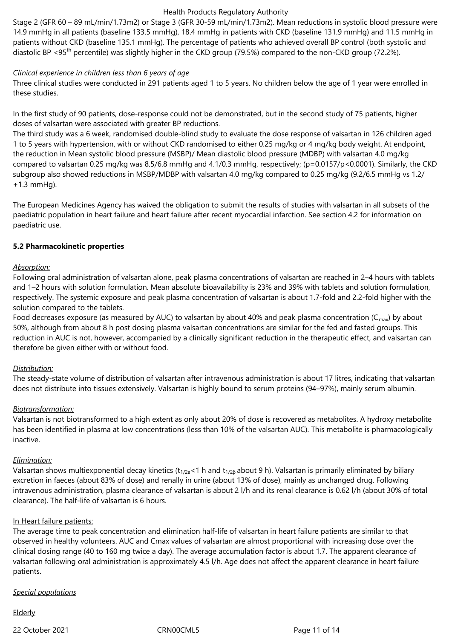Stage 2 (GFR 60 – 89 mL/min/1.73m2) or Stage 3 (GFR 30-59 mL/min/1.73m2). Mean reductions in systolic blood pressure were 14.9 mmHg in all patients (baseline 133.5 mmHg), 18.4 mmHg in patients with CKD (baseline 131.9 mmHg) and 11.5 mmHg in patients without CKD (baseline 135.1 mmHg). The percentage of patients who achieved overall BP control (both systolic and diastolic BP <95<sup>th</sup> percentile) was slightly higher in the CKD group (79.5%) compared to the non-CKD group (72.2%).

#### *Clinical experience in children less than 6 years of age*

Three clinical studies were conducted in 291 patients aged 1 to 5 years. No children below the age of 1 year were enrolled in these studies.

In the first study of 90 patients, dose-response could not be demonstrated, but in the second study of 75 patients, higher doses of valsartan were associated with greater BP reductions.

The third study was a 6 week, randomised double-blind study to evaluate the dose response of valsartan in 126 children aged 1 to 5 years with hypertension, with or without CKD randomised to either 0.25 mg/kg or 4 mg/kg body weight. At endpoint, the reduction in Mean systolic blood pressure (MSBP)/ Mean diastolic blood pressure (MDBP) with valsartan 4.0 mg/kg compared to valsartan 0.25 mg/kg was 8.5/6.8 mmHg and 4.1/0.3 mmHg, respectively; (p=0.0157/p<0.0001). Similarly, the CKD subgroup also showed reductions in MSBP/MDBP with valsartan 4.0 mg/kg compared to 0.25 mg/kg (9.2/6.5 mmHg vs 1.2/ +1.3 mmHg).

The European Medicines Agency has waived the obligation to submit the results of studies with valsartan in all subsets of the paediatric population in heart failure and heart failure after recent myocardial infarction. See section 4.2 for information on paediatric use.

# **5.2 Pharmacokinetic properties**

# *Absorption:*

Following oral administration of valsartan alone, peak plasma concentrations of valsartan are reached in 2–4 hours with tablets and 1–2 hours with solution formulation. Mean absolute bioavailability is 23% and 39% with tablets and solution formulation, respectively. The systemic exposure and peak plasma concentration of valsartan is about 1.7-fold and 2.2-fold higher with the solution compared to the tablets.

Food decreases exposure (as measured by AUC) to valsartan by about 40% and peak plasma concentration ( $C_{max}$ ) by about 50%, although from about 8 h post dosing plasma valsartan concentrations are similar for the fed and fasted groups. This reduction in AUC is not, however, accompanied by a clinically significant reduction in the therapeutic effect, and valsartan can therefore be given either with or without food.

# *Distribution:*

The steady-state volume of distribution of valsartan after intravenous administration is about 17 litres, indicating that valsartan does not distribute into tissues extensively. Valsartan is highly bound to serum proteins (94–97%), mainly serum albumin.

# *Biotransformation:*

Valsartan is not biotransformed to a high extent as only about 20% of dose is recovered as metabolites. A hydroxy metabolite has been identified in plasma at low concentrations (less than 10% of the valsartan AUC). This metabolite is pharmacologically inactive.

#### *Elimination:*

Valsartan shows multiexponential decay kinetics ( $t_{1/2a}$ <1 h and  $t_{1/2B}$  about 9 h). Valsartan is primarily eliminated by biliary excretion in faeces (about 83% of dose) and renally in urine (about 13% of dose), mainly as unchanged drug. Following intravenous administration, plasma clearance of valsartan is about 2 l/h and its renal clearance is 0.62 l/h (about 30% of total clearance). The half-life of valsartan is 6 hours.

#### In Heart failure patients:

The average time to peak concentration and elimination half-life of valsartan in heart failure patients are similar to that observed in healthy volunteers. AUC and Cmax values of valsartan are almost proportional with increasing dose over the clinical dosing range (40 to 160 mg twice a day). The average accumulation factor is about 1.7. The apparent clearance of valsartan following oral administration is approximately 4.5 l/h. Age does not affect the apparent clearance in heart failure patients.

#### *Special populations*

Elderly

22 October 2021 CRN00CML5 Page 11 of 14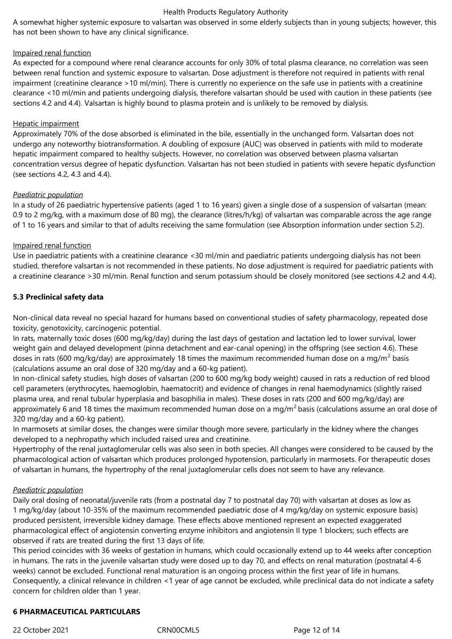A somewhat higher systemic exposure to valsartan was observed in some elderly subjects than in young subjects; however, this has not been shown to have any clinical significance.

### Impaired renal function

As expected for a compound where renal clearance accounts for only 30% of total plasma clearance, no correlation was seen between renal function and systemic exposure to valsartan. Dose adjustment is therefore not required in patients with renal impairment (creatinine clearance >10 ml/min). There is currently no experience on the safe use in patients with a creatinine clearance <10 ml/min and patients undergoing dialysis, therefore valsartan should be used with caution in these patients (see sections 4.2 and 4.4). Valsartan is highly bound to plasma protein and is unlikely to be removed by dialysis.

# Hepatic impairment

Approximately 70% of the dose absorbed is eliminated in the bile, essentially in the unchanged form. Valsartan does not undergo any noteworthy biotransformation. A doubling of exposure (AUC) was observed in patients with mild to moderate hepatic impairment compared to healthy subjects. However, no correlation was observed between plasma valsartan concentration versus degree of hepatic dysfunction. Valsartan has not been studied in patients with severe hepatic dysfunction (see sections 4.2, 4.3 and 4.4).

# *Paediatric population*

In a study of 26 paediatric hypertensive patients (aged 1 to 16 years) given a single dose of a suspension of valsartan (mean: 0.9 to 2 mg/kg, with a maximum dose of 80 mg), the clearance (litres/h/kg) of valsartan was comparable across the age range of 1 to 16 years and similar to that of adults receiving the same formulation (see Absorption information under section 5.2).

# Impaired renal function

Use in paediatric patients with a creatinine clearance <30 ml/min and paediatric patients undergoing dialysis has not been studied, therefore valsartan is not recommended in these patients. No dose adjustment is required for paediatric patients with a creatinine clearance >30 ml/min. Renal function and serum potassium should be closely monitored (see sections 4.2 and 4.4).

# **5.3 Preclinical safety data**

Non-clinical data reveal no special hazard for humans based on conventional studies of safety pharmacology, repeated dose toxicity, genotoxicity, carcinogenic potential.

In rats, maternally toxic doses (600 mg/kg/day) during the last days of gestation and lactation led to lower survival, lower weight gain and delayed development (pinna detachment and ear-canal opening) in the offspring (see section 4.6). These doses in rats (600 mg/kg/day) are approximately 18 times the maximum recommended human dose on a mg/m<sup>2</sup> basis (calculations assume an oral dose of 320 mg/day and a 60-kg patient).

In non-clinical safety studies, high doses of valsartan (200 to 600 mg/kg body weight) caused in rats a reduction of red blood cell parameters (erythrocytes, haemoglobin, haematocrit) and evidence of changes in renal haemodynamics (slightly raised plasma urea, and renal tubular hyperplasia and basophilia in males). These doses in rats (200 and 600 mg/kg/day) are approximately 6 and 18 times the maximum recommended human dose on a mg/m<sup>2</sup> basis (calculations assume an oral dose of 320 mg/day and a 60-kg patient).

In marmosets at similar doses, the changes were similar though more severe, particularly in the kidney where the changes developed to a nephropathy which included raised urea and creatinine.

Hypertrophy of the renal juxtaglomerular cells was also seen in both species. All changes were considered to be caused by the pharmacological action of valsartan which produces prolonged hypotension, particularly in marmosets. For therapeutic doses of valsartan in humans, the hypertrophy of the renal juxtaglomerular cells does not seem to have any relevance.

# *Paediatric population*

Daily oral dosing of neonatal/juvenile rats (from a postnatal day 7 to postnatal day 70) with valsartan at doses as low as 1 mg/kg/day (about 10-35% of the maximum recommended paediatric dose of 4 mg/kg/day on systemic exposure basis) produced persistent, irreversible kidney damage. These effects above mentioned represent an expected exaggerated pharmacological effect of angiotensin converting enzyme inhibitors and angiotensin II type 1 blockers; such effects are observed if rats are treated during the first 13 days of life.

This period coincides with 36 weeks of gestation in humans, which could occasionally extend up to 44 weeks after conception in humans. The rats in the juvenile valsartan study were dosed up to day 70, and effects on renal maturation (postnatal 4-6 weeks) cannot be excluded. Functional renal maturation is an ongoing process within the first year of life in humans. Consequently, a clinical relevance in children <1 year of age cannot be excluded, while preclinical data do not indicate a safety concern for children older than 1 year.

#### **6 PHARMACEUTICAL PARTICULARS**

22 October 2021 CRN00CML5 Page 12 of 14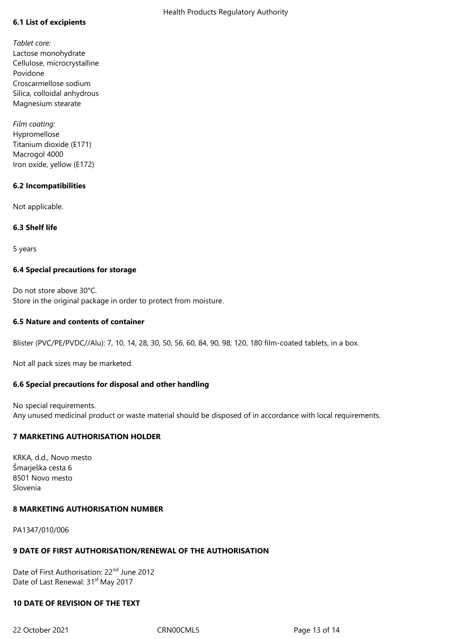# **6.1 List of excipients**

*Tablet core:* Lactose monohydrate Cellulose, microcrystalline Povidone Croscarmellose sodium Silica, colloidal anhydrous Magnesium stearate

*Film coating:* Hypromellose Titanium dioxide (E171) Macrogol 4000 Iron oxide, yellow (E172)

# **6.2 Incompatibilities**

Not applicable.

# **6.3 Shelf life**

5 years

# **6.4 Special precautions for storage**

Do not store above 30°C. Store in the original package in order to protect from moisture.

### **6.5 Nature and contents of container**

Blister (PVC/PE/PVDC//Alu): 7, 10, 14, 28, 30, 50, 56, 60, 84, 90, 98, 120, 180 film-coated tablets, in a box.

Not all pack sizes may be marketed.

# **6.6 Special precautions for disposal and other handling**

No special requirements. Any unused medicinal product or waste material should be disposed of in accordance with local requirements.

# **7 MARKETING AUTHORISATION HOLDER**

KRKA, d.d., Novo mesto Šmarješka cesta 6 8501 Novo mesto Slovenia

#### **8 MARKETING AUTHORISATION NUMBER**

PA1347/010/006

# **9 DATE OF FIRST AUTHORISATION/RENEWAL OF THE AUTHORISATION**

Date of First Authorisation: 22<sup>nd</sup> June 2012 Date of Last Renewal: 31<sup>st</sup> May 2017

# **10 DATE OF REVISION OF THE TEXT**

22 October 2021 CRN00CML5 Page 13 of 14